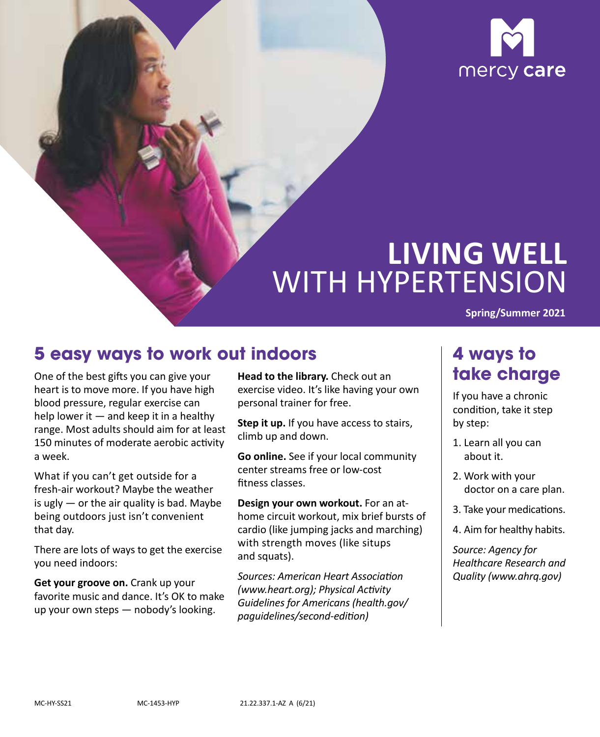

# **LIVING WELL**  WITH HYPERTENSION

**Spring/Summer 2021** 

### **5 easy ways to work out indoors**

One of the best gifts you can give your heart is to move more. If you have high blood pressure, regular exercise can help lower it  $-$  and keep it in a healthy range. Most adults should aim for at least 150 minutes of moderate aerobic activity a week.

 What if you can't get outside for a fresh-air workout? Maybe the weather is ugly  $-$  or the air quality is bad. Maybe being outdoors just isn't convenient that day.

There are lots of ways to get the exercise you need indoors:

 up your own steps — nobody's looking. **Get your groove on.** Crank up your favorite music and dance. It's OK to make **Head to the library.** Check out an exercise video. It's like having your own personal trainer for free.

**Step it up.** If you have access to stairs, climb up and down.

**Go online.** See if your local community center streams free or low-cost fitness classes.

 with strength moves (like situps **Design your own workout.** For an athome circuit workout, mix brief bursts of cardio (like jumping jacks and marching) and squats).

*Sources: American Heart Association (www.heart.org); Physical Activity Guidelines for Americans (health.gov/ [paguidelines/second‑edition\)](http://health.gov/paguidelines/second%E2%80%91edition)* 

### **4 ways to take charge**

If you have a chronic condition, take it step by step:

- 1. Learn all you can about it.
- 2. Work with your doctor on a care plan.
- 3. Take your medications.
- 4. Aim for healthy habits.

*Source: Agency for Healthcare Research and Quality (www.ahrq.gov)*